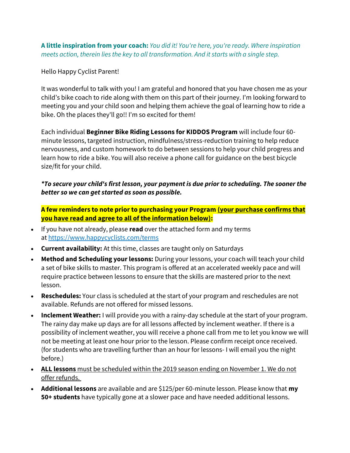**A little inspiration from your coach:** *You did it! You're here, you're ready. Where inspiration meets action, therein lies the key to all transformation. And it starts with a single step.*

Hello Happy Cyclist Parent!

It was wonderful to talk with you! I am grateful and honored that you have chosen me as your child's bike coach to ride along with them on this part of their journey. I'm looking forward to meeting you and your child soon and helping them achieve the goal of learning how to ride a bike. Oh the places they'll go!! I'm so excited for them!

Each individual **Beginner Bike Riding Lessons for KIDDOS Program** will include four 60 minute lessons, targeted instruction, mindfulness/stress-reduction training to help reduce nervousness, and custom homework to do between sessions to help your child progress and learn how to ride a bike. You will also receive a phone call for guidance on the best bicycle size/fit for your child.

## *\*To secure your child's first lesson, your payment is due prior to scheduling. The sooner the better so we can get started as soon as possible.*

**A few reminders to note prior to purchasing your Program (your purchase confirms that you have read and agree to all of the information below):**

- If you have not already, please **read** over the attached form and my terms at <https://www.happycyclists.com/terms>
- **Current availability:** At this time, classes are taught only on Saturdays
- **Method and Scheduling your lessons:** During your lessons, your coach will teach your child a set of bike skills to master. This program is offered at an accelerated weekly pace and will require practice between lessons to ensure that the skills are mastered prior to the next lesson.
- **Reschedules:** Your class is scheduled at the start of your program and reschedules are not available. Refunds are not offered for missed lessons.
- **Inclement Weather:** I will provide you with a rainy-day schedule at the start of your program. The rainy day make up days are for all lessons affected by inclement weather. If there is a possibility of inclement weather, you will receive a phone call from me to let you know we will not be meeting at least one hour prior to the lesson. Please confirm receipt once received. (for students who are travelling further than an hour for lessons- I will email you the night before.)
- **ALL lessons** must be scheduled within the 2019 season ending on November 1. We do not offer refunds.
- **Additional lessons** are available and are \$125/per 60-minute lesson. Please know that **my 50+ students** have typically gone at a slower pace and have needed additional lessons.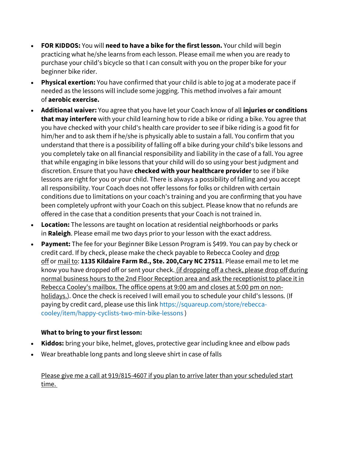- **FOR KIDDOS:** You will **need to have a bike for the first lesson.** Your child will begin practicing what he/she learns from each lesson. Please email me when you are ready to purchase your child's bicycle so that I can consult with you on the proper bike for your beginner bike rider.
- **Physical exertion:** You have confirmed that your child is able to jog at a moderate pace if needed as the lessons will include some jogging. This method involves a fair amount of **aerobic exercise.**
- **Additional waiver:** You agree that you have let your Coach know of all **injuries or conditions that may interfere** with your child learning how to ride a bike or riding a bike. You agree that you have checked with your child's health care provider to see if bike riding is a good fit for him/her and to ask them if he/she is physically able to sustain a fall. You confirm that you understand that there is a possibility of falling off a bike during your child's bike lessons and you completely take on all financial responsibility and liability in the case of a fall. You agree that while engaging in bike lessons that your child will do so using your best judgment and discretion. Ensure that you have **checked with your healthcare provider** to see if bike lessons are right for you or your child. There is always a possibility of falling and you accept all responsibility. Your Coach does not offer lessons for folks or children with certain conditions due to limitations on your coach's training and you are confirming that you have been completely upfront with your Coach on this subject. Please know that no refunds are offered in the case that a condition presents that your Coach is not trained in.
- **Location:** The lessons are taught on location at residential neighborhoods or parks in **Raleigh**. Please email me two days prior to your lesson with the exact address.
- **Payment:** The fee for your Beginner Bike Lesson Program is \$499. You can pay by check or credit card. If by check, please make the check payable to Rebecca Cooley and drop off or mail to: **1135 Kildaire Farm Rd., Ste. 200,Cary NC 27511**. Please email me to let me know you have dropped off or sent your check. (if dropping off a check, please drop off during normal business hours to the 2nd Floor Reception area and ask the receptionist to place it in Rebecca Cooley's mailbox. The office opens at 9:00 am and closes at 5:00 pm on nonholidays.). Once the check is received I will email you to schedule your child's lessons. (If paying by credit card, please use this link https://squareup.com/store/rebeccacooley/item/happy-cyclists-two-min-bike-lessons )

## **What to bring to your first lesson:**

- **Kiddos:** bring your bike, helmet, gloves, protective gear including knee and elbow pads
- Wear breathable long pants and long sleeve shirt in case of falls

Please give me a call at 919/815-4607 if you plan to arrive later than your scheduled start time.